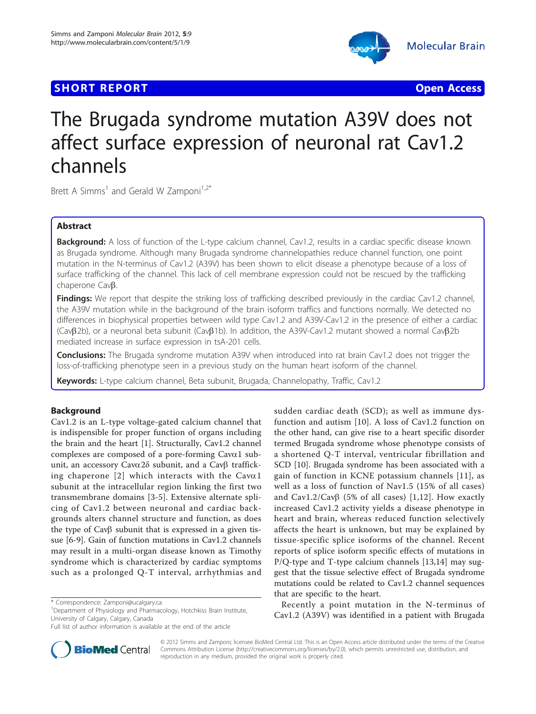## **SHORT REPORT CONTRACT CONTRACT CONTRACT CONTRACT CONTRACT CONTRACT CONTRACT CONTRACT CONTRACT CONTRACT CONTRACT CONTRACT CONTRACT CONTRACT CONTRACT CONTRACT CONTRACT CONTRACT CONTRACT CONTRACT CONTRACT CONTRACT CONTRACT C**



# The Brugada syndrome mutation A39V does not affect surface expression of neuronal rat Cav1.2 channels

Brett A Simms<sup>1</sup> and Gerald W Zamponi<sup>1,2\*</sup>

## Abstract

**Background:** A loss of function of the L-type calcium channel, Cav1.2, results in a cardiac specific disease known as Brugada syndrome. Although many Brugada syndrome channelopathies reduce channel function, one point mutation in the N-terminus of Cav1.2 (A39V) has been shown to elicit disease a phenotype because of a loss of surface trafficking of the channel. This lack of cell membrane expression could not be rescued by the trafficking chaperone Cav<sub>B</sub>.

Findings: We report that despite the striking loss of trafficking described previously in the cardiac Cav1.2 channel, the A39V mutation while in the background of the brain isoform traffics and functions normally. We detected no differences in biophysical properties between wild type Cav1.2 and A39V-Cav1.2 in the presence of either a cardiac  $(Ca\vee B2b)$ , or a neuronal beta subunit  $(Ca\vee B1b)$ . In addition, the A39V-Cav1.2 mutant showed a normal Cav $B2b$ mediated increase in surface expression in tsA-201 cells.

Conclusions: The Brugada syndrome mutation A39V when introduced into rat brain Cav1.2 does not trigger the loss-of-trafficking phenotype seen in a previous study on the human heart isoform of the channel.

Keywords: L-type calcium channel, Beta subunit, Brugada, Channelopathy, Traffic, Cav1.2

## Background

Cav1.2 is an L-type voltage-gated calcium channel that is indispensible for proper function of organs including the brain and the heart [\[1](#page-6-0)]. Structurally, Cav1.2 channel complexes are composed of a pore-forming  $Cava1$  subunit, an accessory Cavα2δ subunit, and a Cavβ traffick-ing chaperone [[2](#page-6-0)] which interacts with the  $Cava1$ subunit at the intracellular region linking the first two transmembrane domains [\[3](#page-6-0)-[5](#page-6-0)]. Extensive alternate splicing of Cav1.2 between neuronal and cardiac backgrounds alters channel structure and function, as does the type of  $Cav\beta$  subunit that is expressed in a given tissue [\[6](#page-6-0)-[9\]](#page-6-0). Gain of function mutations in Cav1.2 channels may result in a multi-organ disease known as Timothy syndrome which is characterized by cardiac symptoms such as a prolonged Q-T interval, arrhythmias and

<sup>1</sup>Department of Physiology and Pharmacology, Hotchkiss Brain Institute, University of Calgary, Calgary, Canada



Recently a point mutation in the N-terminus of Cav1.2 (A39V) was identified in a patient with Brugada



© 2012 Simms and Zamponi; licensee BioMed Central Ltd. This is an Open Access article distributed under the terms of the Creative Commons Attribution License [\(http://creativecommons.org/licenses/by/2.0](http://creativecommons.org/licenses/by/2.0)), which permits unrestricted use, distribution, and reproduction in any medium, provided the original work is properly cited.

<sup>\*</sup> Correspondence: [Zamponi@ucalgary.ca](mailto:Zamponi@ucalgary.ca)

Full list of author information is available at the end of the article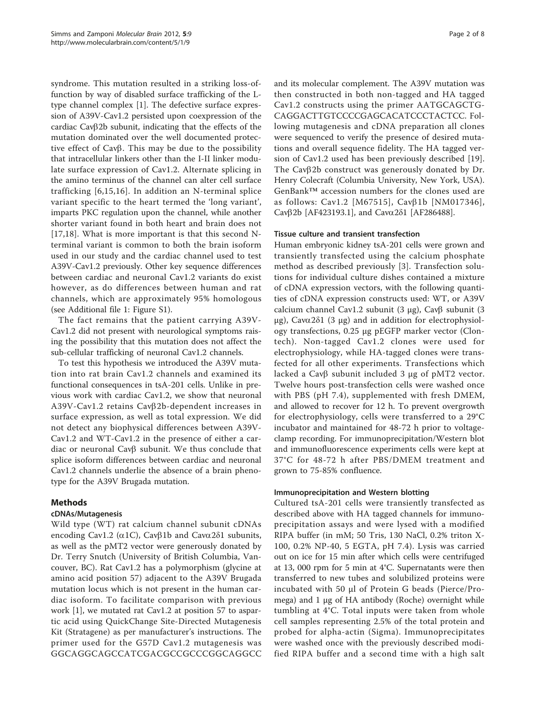syndrome. This mutation resulted in a striking loss-offunction by way of disabled surface trafficking of the Ltype channel complex [[1\]](#page-6-0). The defective surface expression of A39V-Cav1.2 persisted upon coexpression of the cardiac Cav $\beta$ 2b subunit, indicating that the effects of the mutation dominated over the well documented protective effect of  $Cav\beta$ . This may be due to the possibility that intracellular linkers other than the I-II linker modulate surface expression of Cav1.2. Alternate splicing in the amino terminus of the channel can alter cell surface trafficking [[6](#page-6-0),[15](#page-6-0),[16\]](#page-6-0). In addition an N-terminal splice variant specific to the heart termed the 'long variant', imparts PKC regulation upon the channel, while another shorter variant found in both heart and brain does not [[17,18](#page-6-0)]. What is more important is that this second Nterminal variant is common to both the brain isoform used in our study and the cardiac channel used to test A39V-Cav1.2 previously. Other key sequence differences between cardiac and neuronal Cav1.2 variants do exist however, as do differences between human and rat channels, which are approximately 95% homologous (see Additional file [1](#page-6-0): Figure S1).

The fact remains that the patient carrying A39V-Cav1.2 did not present with neurological symptoms raising the possibility that this mutation does not affect the sub-cellular trafficking of neuronal Cav1.2 channels.

To test this hypothesis we introduced the A39V mutation into rat brain Cav1.2 channels and examined its functional consequences in tsA-201 cells. Unlike in previous work with cardiac Cav1.2, we show that neuronal A39V-Cav1.2 retains  $Cav\beta$ 2b-dependent increases in surface expression, as well as total expression. We did not detect any biophysical differences between A39V-Cav1.2 and WT-Cav1.2 in the presence of either a cardiac or neuronal Cav $\beta$  subunit. We thus conclude that splice isoform differences between cardiac and neuronal Cav1.2 channels underlie the absence of a brain phenotype for the A39V Brugada mutation.

## Methods

## cDNAs/Mutagenesis

Wild type (WT) rat calcium channel subunit cDNAs encoding Cav1.2 ( $\alpha$ 1C), Cav $\beta$ 1b and Cav $\alpha$ 2δ1 subunits, as well as the pMT2 vector were generously donated by Dr. Terry Snutch (University of British Columbia, Vancouver, BC). Rat Cav1.2 has a polymorphism (glycine at amino acid position 57) adjacent to the A39V Brugada mutation locus which is not present in the human cardiac isoform. To facilitate comparison with previous work [[1\]](#page-6-0), we mutated rat Cav1.2 at position 57 to aspartic acid using QuickChange Site-Directed Mutagenesis Kit (Stratagene) as per manufacturer's instructions. The primer used for the G57D Cav1.2 mutagenesis was GGCAGGCAGCCATCGACGCCGCCCGGCAGGCC and its molecular complement. The A39V mutation was then constructed in both non-tagged and HA tagged Cav1.2 constructs using the primer AATGCAGCTG-CAGGACTTGTCCCCGAGCACATCCCTACTCC. Following mutagenesis and cDNA preparation all clones were sequenced to verify the presence of desired mutations and overall sequence fidelity. The HA tagged version of Cav1.2 used has been previously described [\[19](#page-6-0)]. The  $Cav\beta$ 2b construct was generously donated by Dr. Henry Colecraft (Columbia University, New York, USA). GenBank™ accession numbers for the clones used are as follows: Cav1.2 [[M67515](http://www.ncbi.nih.gov/entrez/query.fcgi?db=Nucleotide&cmd=search&term=M67515)], Cav $\beta$ 1b [[NM017346\]](http://www.ncbi.nih.gov/entrez/query.fcgi?db=Nucleotide&cmd=search&term=NM017346), Cavb2b [[AF423193.1](http://www.ncbi.nih.gov/entrez/query.fcgi?db=Nucleotide&cmd=search&term=AF423193.1)], and Cava2δ1 [\[AF286488](http://www.ncbi.nih.gov/entrez/query.fcgi?db=Nucleotide&cmd=search&term=AF286488)].

#### Tissue culture and transient transfection

Human embryonic kidney tsA-201 cells were grown and transiently transfected using the calcium phosphate method as described previously [\[3](#page-6-0)]. Transfection solutions for individual culture dishes contained a mixture of cDNA expression vectors, with the following quantities of cDNA expression constructs used: WT, or A39V calcium channel Cav1.2 subunit (3 μg), Cav $β$  subunit (3 μg), Cavα2δ1 (3 μg) and in addition for electrophysiology transfections, 0.25 μg pEGFP marker vector (Clontech). Non-tagged Cav1.2 clones were used for electrophysiology, while HA-tagged clones were transfected for all other experiments. Transfections which lacked a Cavβ subunit included 3 μg of pMT2 vector. Twelve hours post-transfection cells were washed once with PBS (pH 7.4), supplemented with fresh DMEM, and allowed to recover for 12 h. To prevent overgrowth for electrophysiology, cells were transferred to a 29°C incubator and maintained for 48-72 h prior to voltageclamp recording. For immunoprecipitation/Western blot and immunofluorescence experiments cells were kept at 37°C for 48-72 h after PBS/DMEM treatment and grown to 75-85% confluence.

## Immunoprecipitation and Western blotting

Cultured tsA-201 cells were transiently transfected as described above with HA tagged channels for immunoprecipitation assays and were lysed with a modified RIPA buffer (in mM; 50 Tris, 130 NaCl, 0.2% triton X-100, 0.2% NP-40, 5 EGTA, pH 7.4). Lysis was carried out on ice for 15 min after which cells were centrifuged at 13, 000 rpm for 5 min at 4°C. Supernatants were then transferred to new tubes and solubilized proteins were incubated with 50 μl of Protein G beads (Pierce/Promega) and 1 μg of HA antibody (Roche) overnight while tumbling at 4°C. Total inputs were taken from whole cell samples representing 2.5% of the total protein and probed for alpha-actin (Sigma). Immunoprecipitates were washed once with the previously described modified RIPA buffer and a second time with a high salt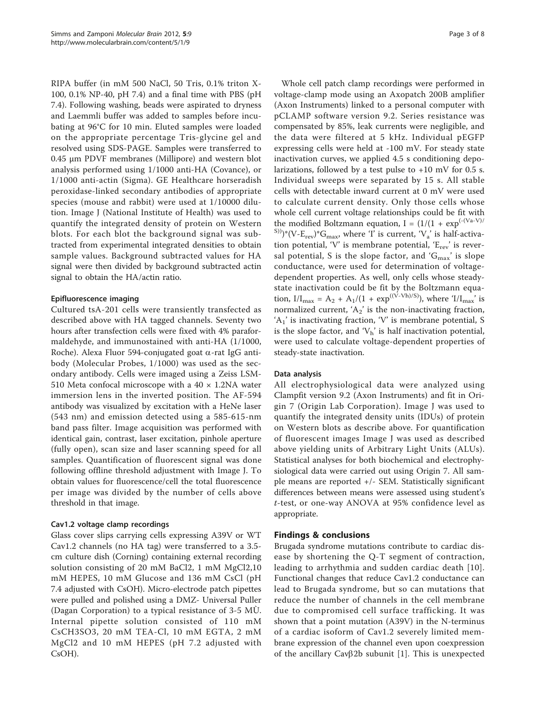RIPA buffer (in mM 500 NaCl, 50 Tris, 0.1% triton X-100, 0.1% NP-40, pH 7.4) and a final time with PBS (pH 7.4). Following washing, beads were aspirated to dryness and Laemmli buffer was added to samples before incubating at 96°C for 10 min. Eluted samples were loaded on the appropriate percentage Tris-glycine gel and resolved using SDS-PAGE. Samples were transferred to 0.45 μm PDVF membranes (Millipore) and western blot analysis performed using 1/1000 anti-HA (Covance), or 1/1000 anti-actin (Sigma). GE Healthcare horseradish peroxidase-linked secondary antibodies of appropriate species (mouse and rabbit) were used at 1/10000 dilution. Image J (National Institute of Health) was used to quantify the integrated density of protein on Western blots. For each blot the background signal was subtracted from experimental integrated densities to obtain sample values. Background subtracted values for HA signal were then divided by background subtracted actin signal to obtain the HA/actin ratio.

## Epifluorescence imaging

Cultured tsA-201 cells were transiently transfected as described above with HA tagged channels. Seventy two hours after transfection cells were fixed with 4% paraformaldehyde, and immunostained with anti-HA (1/1000, Roche). Alexa Fluor 594-conjugated goat  $\alpha$ -rat IgG antibody (Molecular Probes, 1/1000) was used as the secondary antibody. Cells were imaged using a Zeiss LSM-510 Meta confocal microscope with a  $40 \times 1.2$ NA water immersion lens in the inverted position. The AF-594 antibody was visualized by excitation with a HeNe laser (543 nm) and emission detected using a 585-615-nm band pass filter. Image acquisition was performed with identical gain, contrast, laser excitation, pinhole aperture (fully open), scan size and laser scanning speed for all samples. Quantification of fluorescent signal was done following offline threshold adjustment with Image J. To obtain values for fluorescence/cell the total fluorescence per image was divided by the number of cells above threshold in that image.

## Cav1.2 voltage clamp recordings

Glass cover slips carrying cells expressing A39V or WT Cav1.2 channels (no HA tag) were transferred to a 3.5 cm culture dish (Corning) containing external recording solution consisting of 20 mM BaCl2, 1 mM MgCl2,10 mM HEPES, 10 mM Glucose and 136 mM CsCl (pH 7.4 adjusted with CsOH). Micro-electrode patch pipettes were pulled and polished using a DMZ- Universal Puller (Dagan Corporation) to a typical resistance of 3-5 MÙ. Internal pipette solution consisted of 110 mM CsCH3SO3, 20 mM TEA-Cl, 10 mM EGTA, 2 mM MgCl2 and 10 mM HEPES (pH 7.2 adjusted with CsOH).

Whole cell patch clamp recordings were performed in voltage-clamp mode using an Axopatch 200B amplifier (Axon Instruments) linked to a personal computer with pCLAMP software version 9.2. Series resistance was compensated by 85%, leak currents were negligible, and the data were filtered at 5 kHz. Individual pEGFP expressing cells were held at -100 mV. For steady state inactivation curves, we applied 4.5 s conditioning depolarizations, followed by a test pulse to  $+10$  mV for 0.5 s. Individual sweeps were separated by 15 s. All stable cells with detectable inward current at 0 mV were used to calculate current density. Only those cells whose whole cell current voltage relationships could be fit with the modified Boltzmann equation,  $I = (1/(1 + \exp^{(-(\text{Va-V}))}))$  $^{(S))}$ <sup>\*</sup>(V-E<sub>rev</sub>)<sup>\*</sup>G<sub>max</sub>, where 'I' is current, 'V<sub>a</sub>' is half-activation potential, 'V' is membrane potential,  $E_{rev}$ ' is reversal potential, S is the slope factor, and ' $G_{\text{max}}$ ' is slope conductance, were used for determination of voltagedependent properties. As well, only cells whose steadystate inactivation could be fit by the Boltzmann equation,  $I/I_{\text{max}} = A_2 + A_1/(1 + \exp^{((V-Vh)/S)})$ , where ' $I/I_{\text{max}}$ ' is normalized current,  $'A_2$ ' is the non-inactivating fraction,  $'A_1$ ' is inactivating fraction, 'V' is membrane potential, S is the slope factor, and  $V_h$  is half inactivation potential, were used to calculate voltage-dependent properties of steady-state inactivation.

## Data analysis

All electrophysiological data were analyzed using Clampfit version 9.2 (Axon Instruments) and fit in Origin 7 (Origin Lab Corporation). Image J was used to quantify the integrated density units (IDUs) of protein on Western blots as describe above. For quantification of fluorescent images Image J was used as described above yielding units of Arbitrary Light Units (ALUs). Statistical analyses for both biochemical and electrophysiological data were carried out using Origin 7. All sample means are reported +/- SEM. Statistically significant differences between means were assessed using student's t-test, or one-way ANOVA at 95% confidence level as appropriate.

## Findings & conclusions

Brugada syndrome mutations contribute to cardiac disease by shortening the Q-T segment of contraction, leading to arrhythmia and sudden cardiac death [[10\]](#page-6-0). Functional changes that reduce Cav1.2 conductance can lead to Brugada syndrome, but so can mutations that reduce the number of channels in the cell membrane due to compromised cell surface trafficking. It was shown that a point mutation (A39V) in the N-terminus of a cardiac isoform of Cav1.2 severely limited membrane expression of the channel even upon coexpression of the ancillary Cav $\beta$ 2b subunit [[1\]](#page-6-0). This is unexpected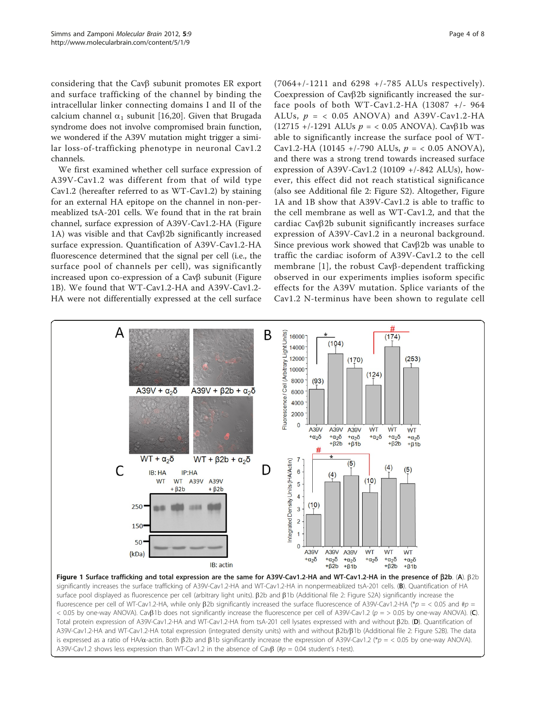<span id="page-3-0"></span>considering that the Cav $\beta$  subunit promotes ER export and surface trafficking of the channel by binding the intracellular linker connecting domains I and II of the calcium channel  $\alpha_1$  subunit [[16,](#page-6-0)[20\]](#page-7-0). Given that Brugada syndrome does not involve compromised brain function, we wondered if the A39V mutation might trigger a similar loss-of-trafficking phenotype in neuronal Cav1.2 channels.

We first examined whether cell surface expression of A39V-Cav1.2 was different from that of wild type Cav1.2 (hereafter referred to as WT-Cav1.2) by staining for an external HA epitope on the channel in non-permeablized tsA-201 cells. We found that in the rat brain channel, surface expression of A39V-Cav1.2-HA (Figure 1A) was visible and that Cavβ2b significantly increased surface expression. Quantification of A39V-Cav1.2-HA fluorescence determined that the signal per cell (i.e., the surface pool of channels per cell), was significantly increased upon co-expression of a Cav<sub>B</sub> subunit (Figure 1B). We found that WT-Cav1.2-HA and A39V-Cav1.2- HA were not differentially expressed at the cell surface

(7064+/-1211 and 6298 +/-785 ALUs respectively). Coexpression of  $Cav\beta2b$  significantly increased the surface pools of both WT-Cav1.2-HA (13087 +/- 964 ALUs,  $p = \langle 0.05 \text{ ANOVA} \rangle$  and A39V-Cav1.2-HA (12715 +/-1291 ALUs  $p = 0.05$  ANOVA). Cav $\beta$ 1b was able to significantly increase the surface pool of WT-Cav1.2-HA (10145 +/-790 ALUs,  $p = < 0.05$  ANOVA), and there was a strong trend towards increased surface expression of A39V-Cav1.2 (10109 +/-842 ALUs), however, this effect did not reach statistical significance (also see Additional file [2](#page-6-0): Figure S2). Altogether, Figure 1A and 1B show that A39V-Cav1.2 is able to traffic to the cell membrane as well as WT-Cav1.2, and that the  $cardiac CayB2b$  subunit significantly increases surface expression of A39V-Cav1.2 in a neuronal background. Since previous work showed that Cav<sub>B</sub>2b was unable to traffic the cardiac isoform of A39V-Cav1.2 to the cell membrane [\[1\]](#page-6-0), the robust Cav<sub>B</sub>-dependent trafficking observed in our experiments implies isoform specific effects for the A39V mutation. Splice variants of the Cav1.2 N-terminus have been shown to regulate cell

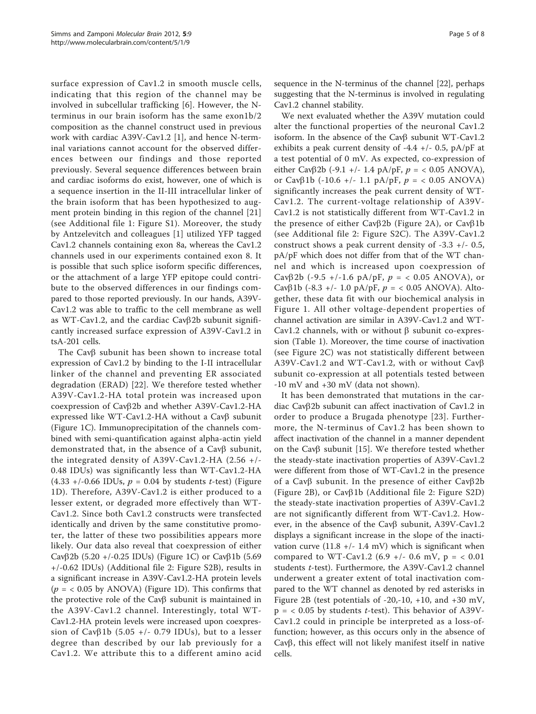surface expression of Cav1.2 in smooth muscle cells, indicating that this region of the channel may be involved in subcellular trafficking [[6\]](#page-6-0). However, the Nterminus in our brain isoform has the same exon1b/2 composition as the channel construct used in previous work with cardiac A39V-Cav1.2 [[1](#page-6-0)], and hence N-terminal variations cannot account for the observed differences between our findings and those reported previously. Several sequence differences between brain and cardiac isoforms do exist, however, one of which is a sequence insertion in the II-III intracellular linker of the brain isoform that has been hypothesized to augment protein binding in this region of the channel [\[21](#page-7-0)] (see Additional file [1](#page-6-0): Figure S1). Moreover, the study by Antzelevitch and colleagues [[1\]](#page-6-0) utilized YFP tagged Cav1.2 channels containing exon 8a, whereas the Cav1.2 channels used in our experiments contained exon 8. It is possible that such splice isoform specific differences, or the attachment of a large YFP epitope could contribute to the observed differences in our findings compared to those reported previously. In our hands, A39V-Cav1.2 was able to traffic to the cell membrane as well as WT-Cav1.2, and the cardiac Cav $\beta$ 2b subunit significantly increased surface expression of A39V-Cav1.2 in tsA-201 cells.

The Cav $\beta$  subunit has been shown to increase total expression of Cav1.2 by binding to the I-II intracellular linker of the channel and preventing ER associated degradation (ERAD) [\[22\]](#page-7-0). We therefore tested whether A39V-Cav1.2-HA total protein was increased upon coexpression of Cavb2b and whether A39V-Cav1.2-HA expressed like WT-Cav1.2-HA without a Cav $\beta$  subunit (Figure [1C](#page-3-0)). Immunoprecipitation of the channels combined with semi-quantification against alpha-actin yield demonstrated that, in the absence of a Cav $\beta$  subunit, the integrated density of A39V-Cav1.2-HA (2.56 +/- 0.48 IDUs) was significantly less than WT-Cav1.2-HA  $(4.33 +/-0.66$  IDUs,  $p = 0.04$  by students *t*-test) (Figure [1D](#page-3-0)). Therefore, A39V-Cav1.2 is either produced to a lesser extent, or degraded more effectively than WT-Cav1.2. Since both Cav1.2 constructs were transfected identically and driven by the same constitutive promoter, the latter of these two possibilities appears more likely. Our data also reveal that coexpression of either Cav $\beta$ 2b (5.20 +/-0.25 IDUs) (Figure [1C](#page-3-0)) or Cav $\beta$ 1b (5.69 +/-0.62 IDUs) (Additional file [2](#page-6-0): Figure S2B), results in a significant increase in A39V-Cav1.2-HA protein levels  $(p = 0.05$  by ANOVA) (Figure [1D](#page-3-0)). This confirms that the protective role of the Cav $\beta$  subunit is maintained in the A39V-Cav1.2 channel. Interestingly, total WT-Cav1.2-HA protein levels were increased upon coexpression of Cav $\beta$ 1b (5.05 +/- 0.79 IDUs), but to a lesser degree than described by our lab previously for a Cav1.2. We attribute this to a different amino acid sequence in the N-terminus of the channel [\[22](#page-7-0)], perhaps suggesting that the N-terminus is involved in regulating Cav1.2 channel stability.

We next evaluated whether the A39V mutation could alter the functional properties of the neuronal Cav1.2 isoform. In the absence of the Cav $\beta$  subunit WT-Cav1.2 exhibits a peak current density of  $-4.4$  +/- 0.5, pA/pF at a test potential of 0 mV. As expected, co-expression of either Cav $\beta$ 2b (-9.1 +/- 1.4 pA/pF,  $p = < 0.05$  ANOVA), or Cav $\beta$ 1b (-10.6 +/- 1.1 pA/pF,  $p = < 0.05$  ANOVA) significantly increases the peak current density of WT-Cav1.2. The current-voltage relationship of A39V-Cav1.2 is not statistically different from WT-Cav1.2 in the presence of either Cav $\beta$ 2b (Figure [2A\)](#page-5-0), or Cav $\beta$ 1b (see Additional file [2:](#page-6-0) Figure S2C). The A39V-Cav1.2 construct shows a peak current density of  $-3.3$  +/ $-0.5$ , pA/pF which does not differ from that of the WT channel and which is increased upon coexpression of Cav $\beta$ 2b (-9.5 +/-1.6 pA/pF,  $p = < 0.05$  ANOVA), or Cav $\beta$ 1b (-8.3 +/- 1.0 pA/pF,  $p = < 0.05$  ANOVA). Altogether, these data fit with our biochemical analysis in Figure [1](#page-3-0). All other voltage-dependent properties of channel activation are similar in A39V-Cav1.2 and WT-Cav1.2 channels, with or without  $\beta$  subunit co-expression (Table [1\)](#page-5-0). Moreover, the time course of inactivation (see Figure [2C\)](#page-5-0) was not statistically different between A39V-Cav1.2 and WT-Cav1.2, with or without Cav $\beta$ subunit co-expression at all potentials tested between -10 mV and +30 mV (data not shown).

It has been demonstrated that mutations in the cardiac Cav $\beta$ 2b subunit can affect inactivation of Cav1.2 in order to produce a Brugada phenotype [[23\]](#page-7-0). Furthermore, the N-terminus of Cav1.2 has been shown to affect inactivation of the channel in a manner dependent on the Cav $\beta$  subunit [\[15](#page-6-0)]. We therefore tested whether the steady-state inactivation properties of A39V-Cav1.2 were different from those of WT-Cav1.2 in the presence of a Cav $\beta$  subunit. In the presence of either Cav $\beta$ 2b (Figure [2B\)](#page-5-0), or Cav $\beta$ 1b (Additional file [2](#page-6-0): Figure S2D) the steady-state inactivation properties of A39V-Cav1.2 are not significantly different from WT-Cav1.2. However, in the absence of the Cav<sub>B</sub> subunit, A39V-Cav1.2 displays a significant increase in the slope of the inactivation curve  $(11.8 +/- 1.4 \text{ mV})$  which is significant when compared to WT-Cav1.2 (6.9 +/- 0.6 mV,  $p = < 0.01$ ) students t-test). Furthermore, the A39V-Cav1.2 channel underwent a greater extent of total inactivation compared to the WT channel as denoted by red asterisks in Figure [2B](#page-5-0) (test potentials of -20,-10, +10, and +30 mV,  $p = < 0.05$  by students *t*-test). This behavior of A39V-Cav1.2 could in principle be interpreted as a loss-offunction; however, as this occurs only in the absence of Cav $\beta$ , this effect will not likely manifest itself in native cells.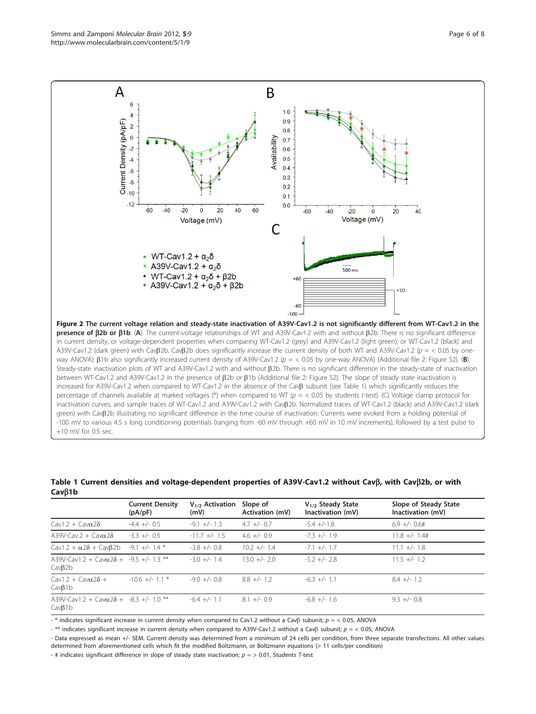<span id="page-5-0"></span>

|                                                                  | <b>Current Density</b><br>(pA/pF) | $V_{1/2}$ Activation<br>(mV) | Slope of<br>Activation (mV) | $V_{1/2}$ Steady State<br>Inactivation (mV) | Slope of Steady State<br>Inactivation (mV) |
|------------------------------------------------------------------|-----------------------------------|------------------------------|-----------------------------|---------------------------------------------|--------------------------------------------|
| Cav1.2 + Cav $\alpha$ 28                                         | $-4.4$ +/- 0.5                    | $-9.1 +/- 1.3$               | $4.7 +/- 0.7$               | $-54 + (-1.8$                               | $6.9 +/- 0.6#$                             |
| A39V-Cav.2 + Cav $\alpha$ 28                                     | $-3.3 +/- 0.5$                    | $-11.7$ +/- 1.5              | $4.6 +/- 0.9$               | $-7.3$ +/- 1.9                              | $11.8 +/- 1.4#$                            |
| $Cav1.2 + \alpha 2\delta + Cav\beta 2b$                          | $-9.1 +/- 1.4$ *                  | $-3.8$ +/- 0.8               | $10.2 +/- 1.4$              | $-7.1 +/- 1.7$                              | $11.1 +/- 1.8$                             |
| A39V-Cav1.2 + Cav $\alpha$ 28 + -9.5 +/- 1.3 **<br>$Cav\beta 2b$ |                                   | $-3.0 +/- 1.4$               | $13.0 +/- 2.0$              | $-5.2 +/- 2.8$                              | $11.5 +/- 1.2$                             |
| $\left(\frac{1}{2} + \frac{1}{2} \right)$<br>$Cav\beta$ 1b       | $-10.6$ +/- 1.1 $*$               | $-9.0 +/- 0.8$               | $8.8 +/- 1.2$               | $-6.3 +/- 1.1$                              | $8.4 +/- 1.2$                              |
| A39V-Cav1.2 + Cav $\alpha$ 28 + -8.3 +/- 1.0 **<br>$Cav\beta$ 1b |                                   | $-6.4$ +/- 1.1               | $8.1 +/- 0.9$               | $-6.8 +/- 1.6$                              | $9.3 +/- 0.8$                              |

#### Table 1 Current densities and voltage-dependent properties of A39V-Cav1.2 without Cav $\beta$ , with Cav $\beta$ 2b, or with Cav<sub>B1</sub>b

- \* indicates significant increase in current density when compared to Cav1.2 without a Cav $\beta$  subunit;  $p =$  < 0.05, ANOVA

- \*\* indicates significant increase in current density when compared to A39V-Cav1.2 without a Cav $\beta$  subunit;  $p =$  < 0.05, ANOVA

- Data expressed as mean +/- SEM. Current density was determined from a minimum of 24 cells per condition, from three separate transfections. All other values determined from aforementioned cells which fit the modified Boltzmann, or Boltzmann equations (> 11 cells/per condition)

- # indicates significant difference in slope of steady state inactivation;  $p =$  > 0.01, Students T-test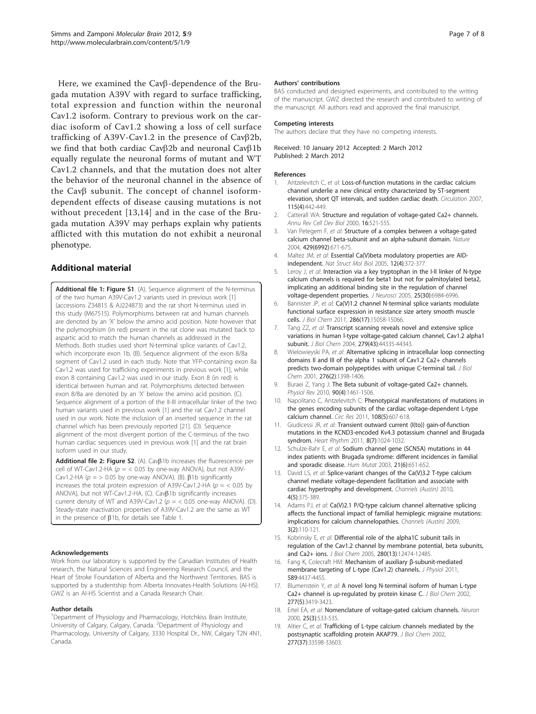<span id="page-6-0"></span>Here, we examined the Cav<sub>B</sub>-dependence of the Brugada mutation A39V with regard to surface trafficking, total expression and function within the neuronal Cav1.2 isoform. Contrary to previous work on the cardiac isoform of Cav1.2 showing a loss of cell surface trafficking of A39V-Cav1.2 in the presence of  $Cav\beta 2b$ , we find that both cardiac Cav $\beta$ 2b and neuronal Cav $\beta$ 1b equally regulate the neuronal forms of mutant and WT Cav1.2 channels, and that the mutation does not alter the behavior of the neuronal channel in the absence of the Cav $\beta$  subunit. The concept of channel isoformdependent effects of disease causing mutations is not without precedent [13,14] and in the case of the Brugada mutation A39V may perhaps explain why patients afflicted with this mutation do not exhibit a neuronal phenotype.

## Additional material

[Additional file 1: F](http://www.biomedcentral.com/content/supplementary/1756-6606-5-9-S1.TIFF)igure S1. (A). Sequence alignment of the N-terminus of the two human A39V-Cav1.2 variants used in previous work [1] (accessions Z34815 & AJ224873) and the rat short N-terminus used in this study (M67515). Polymorphisms between rat and human channels are denoted by an 'X' below the amino acid position. Note however that the polymorphism (in red) present in the rat clone was mutated back to aspartic acid to match the human channels as addressed in the Methods. Both studies used short N-terminal splice variants of Cav1.2, which incorporate exon 1b. (B). Sequence alignment of the exon 8/8a segment of Cav1.2 used in each study. Note that YFP-containing exon 8a Cav1.2 was used for trafficking experiments in previous work [1], while exon 8 containing Cav1.2 was used in our study. Exon 8 (in red) is identical between human and rat. Polymorphisms detected between exon 8/8a are denoted by an 'X' below the amino acid position. (C). Sequence alignment of a portion of the II-III intracellular linker of the two human variants used in previous work [1] and the rat Cav1.2 channel used in our work. Note the inclusion of an inserted sequence in the rat channel which has been previously reported [[21](#page-7-0)]. (D). Sequence alignment of the most divergent portion of the C-terminus of the two human cardiac sequences used in previous work [1] and the rat brain isoform used in our study.

[Additional file 2: F](http://www.biomedcentral.com/content/supplementary/1756-6606-5-9-S2.TIFF)igure S2. (A). Cav $\beta$ 1b increases the fluorescence per cell of WT-Cav1.2-HA ( $p = < 0.05$  by one-way ANOVA), but not A39V-Cav1.2-HA ( $p =$  > 0.05 by one-way ANOVA). (B).  $\beta$ 1b significantly increases the total protein expression of A39V-Cav1.2-HA ( $p = < 0.05$  by ANOVA), but not WT-Cav1.2-HA. (C). Cav $\beta$ 1b significantly increases current density of WT and A39V-Cav1.2 ( $p = < 0.05$  one-way ANOVA). (D). Steady-state inactivation properties of A39V-Cav1.2 are the same as WT in the presence of  $\beta$ 1b, for details see Table [1](#page-5-0).

#### Acknowledgements

Work from our laboratory is supported by the Canadian Institutes of Health research, the Natural Sciences and Engineering Research Council, and the Heart of Stroke Foundation of Alberta and the Northwest Territories. BAS is supported by a studentship from Alberta Innovates-Health Solutions (AI-HS). GWZ is an AI-HS Scientist and a Canada Research Chair.

#### Author details

<sup>1</sup>Department of Physiology and Pharmacology, Hotchkiss Brain Institute, University of Calgary, Calgary, Canada. <sup>2</sup>Department of Physiology and Pharmacology, University of Calgary, 3330 Hospital Dr., NW, Calgary T2N 4N1, Canada.

#### Authors' contributions

BAS conducted and designed experiments, and contributed to the writing of the manuscript. GWZ directed the research and contributed to writing of the manuscript. All authors read and approved the final manuscript.

#### Competing interests

The authors declare that they have no competing interests.

Received: 10 January 2012 Accepted: 2 March 2012 Published: 2 March 2012

#### References

- 1. Antzelevitch C, et al: [Loss-of-function mutations in the cardiac calcium](http://www.ncbi.nlm.nih.gov/pubmed/17224476?dopt=Abstract) [channel underlie a new clinical entity characterized by ST-segment](http://www.ncbi.nlm.nih.gov/pubmed/17224476?dopt=Abstract) [elevation, short QT intervals, and sudden cardiac death.](http://www.ncbi.nlm.nih.gov/pubmed/17224476?dopt=Abstract) Circulation 2007, 115(4):442-449.
- 2. Catterall WA: [Structure and regulation of voltage-gated Ca2+ channels.](http://www.ncbi.nlm.nih.gov/pubmed/11031246?dopt=Abstract) Annu Rev Cell Dev Biol 2000, 16:521-555.
- 3. Van Petegem F, et al: [Structure of a complex between a voltage-gated](http://www.ncbi.nlm.nih.gov/pubmed/15141227?dopt=Abstract) [calcium channel beta-subunit and an alpha-subunit domain.](http://www.ncbi.nlm.nih.gov/pubmed/15141227?dopt=Abstract) Nature 2004, 429(6992):671-675.
- 4. Maltez JM, et al: [Essential Ca\(V\)beta modulatory properties are AID](http://www.ncbi.nlm.nih.gov/pubmed/15750602?dopt=Abstract)[independent.](http://www.ncbi.nlm.nih.gov/pubmed/15750602?dopt=Abstract) Nat Struct Mol Biol 2005, 12(4):372-377.
- 5. Leroy J, et al: [Interaction via a key tryptophan in the I-II linker of N-type](http://www.ncbi.nlm.nih.gov/pubmed/16049174?dopt=Abstract) [calcium channels is required for beta1 but not for palmitoylated beta2,](http://www.ncbi.nlm.nih.gov/pubmed/16049174?dopt=Abstract) [implicating an additional binding site in the regulation of channel](http://www.ncbi.nlm.nih.gov/pubmed/16049174?dopt=Abstract) [voltage-dependent properties.](http://www.ncbi.nlm.nih.gov/pubmed/16049174?dopt=Abstract) J Neurosci 2005, 25(30):6984-6996.
- 6. Bannister JP, et al: [Ca\(V\)1.2 channel N-terminal splice variants modulate](http://www.ncbi.nlm.nih.gov/pubmed/21357696?dopt=Abstract) [functional surface expression in resistance size artery smooth muscle](http://www.ncbi.nlm.nih.gov/pubmed/21357696?dopt=Abstract) [cells.](http://www.ncbi.nlm.nih.gov/pubmed/21357696?dopt=Abstract) J Biol Chem 2011, 286(17):15058-15066.
- Tang ZZ, et al: [Transcript scanning reveals novel and extensive splice](http://www.ncbi.nlm.nih.gov/pubmed/15299022?dopt=Abstract) [variations in human l-type voltage-gated calcium channel, Cav1.2 alpha1](http://www.ncbi.nlm.nih.gov/pubmed/15299022?dopt=Abstract) [subunit.](http://www.ncbi.nlm.nih.gov/pubmed/15299022?dopt=Abstract) J Biol Chem 2004, 279(43):44335-44343.
- 8. Wielowieyski PA, et al: [Alternative splicing in intracellular loop connecting](http://www.ncbi.nlm.nih.gov/pubmed/11010971?dopt=Abstract) [domains II and III of the alpha 1 subunit of Cav1.2 Ca2+ channels](http://www.ncbi.nlm.nih.gov/pubmed/11010971?dopt=Abstract) [predicts two-domain polypeptides with unique C-terminal tail.](http://www.ncbi.nlm.nih.gov/pubmed/11010971?dopt=Abstract) J Biol Chem 2001, 276(2):1398-1406.
- 9. Buraei Z, Yang J: [The Beta subunit of voltage-gated Ca2+ channels.](http://www.ncbi.nlm.nih.gov/pubmed/20959621?dopt=Abstract) Physiol Rev 2010, 90(4):1461-1506.
- 10. Napolitano C, Antzelevitch C: [Phenotypical manifestations of mutations in](http://www.ncbi.nlm.nih.gov/pubmed/21372292?dopt=Abstract) [the genes encoding subunits of the cardiac voltage-dependent L-type](http://www.ncbi.nlm.nih.gov/pubmed/21372292?dopt=Abstract) [calcium channel.](http://www.ncbi.nlm.nih.gov/pubmed/21372292?dopt=Abstract) Circ Res 2011, 108(5):607-618.
- 11. Giudicessi JR, et al: [Transient outward current \(I\(to\)\) gain-of-function](http://www.ncbi.nlm.nih.gov/pubmed/21349352?dopt=Abstract) [mutations in the KCND3-encoded Kv4.3 potassium channel and Brugada](http://www.ncbi.nlm.nih.gov/pubmed/21349352?dopt=Abstract) [syndrom.](http://www.ncbi.nlm.nih.gov/pubmed/21349352?dopt=Abstract) Heart Rhythm 2011, 8(7):1024-1032.
- 12. Schulze-Bahr E, et al: [Sodium channel gene \(SCN5A\) mutations in 44](http://www.ncbi.nlm.nih.gov/pubmed/14961552?dopt=Abstract) [index patients with Brugada syndrome: different incidences in familial](http://www.ncbi.nlm.nih.gov/pubmed/14961552?dopt=Abstract) [and sporadic disease.](http://www.ncbi.nlm.nih.gov/pubmed/14961552?dopt=Abstract) Hum Mutat 2003, 21(6):651-652.
- 13. David LS, et al: Splice-variant changes of the Ca(V)3.2 T-type calcium channel mediate voltage-dependent facilitation and associate with cardiac hypertrophy and development. Channels (Austin) 2010, 4(5):375-389.
- 14. Adams PJ, et al: Ca(V)2.1 P/Q-type calcium channel alternative splicing affects the functional impact of familial hemiplegic migraine mutations: implications for calcium channelopathies. Channels (Austin) 2009, 3(2):110-121.
- 15. Kobrinsky E, et al: [Differential role of the alpha1C subunit tails in](http://www.ncbi.nlm.nih.gov/pubmed/15671035?dopt=Abstract) [regulation of the Cav1.2 channel by membrane potential, beta subunits,](http://www.ncbi.nlm.nih.gov/pubmed/15671035?dopt=Abstract) [and Ca2+ ions.](http://www.ncbi.nlm.nih.gov/pubmed/15671035?dopt=Abstract) J Biol Chem 2005, 280(13):12474-12485.
- 16. Fang K, Colecraft HM: [Mechanism of auxiliary](http://www.ncbi.nlm.nih.gov/pubmed/21746784?dopt=Abstract) β-subunit-mediated [membrane targeting of L-type \(Cav1.2\) channels.](http://www.ncbi.nlm.nih.gov/pubmed/21746784?dopt=Abstract) J Physiol 2011, 589:4437-4455.
- 17. Blumenstein Y, et al: [A novel long N-terminal isoform of human L-type](http://www.ncbi.nlm.nih.gov/pubmed/11741969?dopt=Abstract) [Ca2+ channel is up-regulated by protein kinase C.](http://www.ncbi.nlm.nih.gov/pubmed/11741969?dopt=Abstract) J Biol Chem 2002, 277(5):3419-3423.
- 18. Ertel EA, et al: [Nomenclature of voltage-gated calcium channels.](http://www.ncbi.nlm.nih.gov/pubmed/10774722?dopt=Abstract) Neuron 2000, 25(3):533-535.
- 19. Altier C, et al: [Trafficking of L-type calcium channels mediated by the](http://www.ncbi.nlm.nih.gov/pubmed/12114507?dopt=Abstract) [postsynaptic scaffolding protein AKAP79.](http://www.ncbi.nlm.nih.gov/pubmed/12114507?dopt=Abstract) J Biol Chem 2002, 277(37):33598-33603.